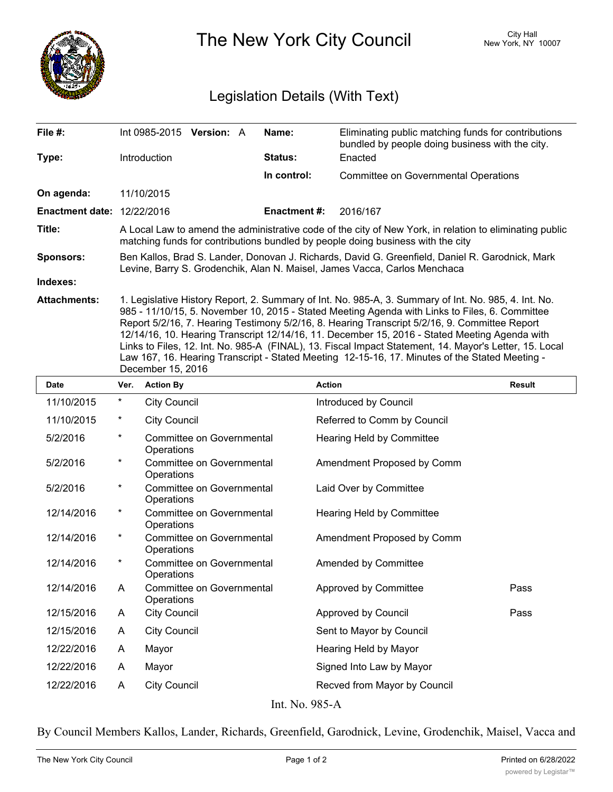

December 15, 2016

The New York City Council New York, NY 10007

## Legislation Details (With Text)

| File $#$ :                        | Int 0985-2015 Version: A                                                                                                                                                                                                                                                                                                                                                                                                                                                                                                                                                                                             |  |  | Name:          | Eliminating public matching funds for contributions<br>bundled by people doing business with the city. |
|-----------------------------------|----------------------------------------------------------------------------------------------------------------------------------------------------------------------------------------------------------------------------------------------------------------------------------------------------------------------------------------------------------------------------------------------------------------------------------------------------------------------------------------------------------------------------------------------------------------------------------------------------------------------|--|--|----------------|--------------------------------------------------------------------------------------------------------|
| Type:                             | <b>Introduction</b>                                                                                                                                                                                                                                                                                                                                                                                                                                                                                                                                                                                                  |  |  | <b>Status:</b> | Enacted                                                                                                |
|                                   |                                                                                                                                                                                                                                                                                                                                                                                                                                                                                                                                                                                                                      |  |  | In control:    | <b>Committee on Governmental Operations</b>                                                            |
| On agenda:                        | 11/10/2015                                                                                                                                                                                                                                                                                                                                                                                                                                                                                                                                                                                                           |  |  |                |                                                                                                        |
| <b>Enactment date: 12/22/2016</b> |                                                                                                                                                                                                                                                                                                                                                                                                                                                                                                                                                                                                                      |  |  | Enactment #:   | 2016/167                                                                                               |
| Title:                            | A Local Law to amend the administrative code of the city of New York, in relation to eliminating public<br>matching funds for contributions bundled by people doing business with the city                                                                                                                                                                                                                                                                                                                                                                                                                           |  |  |                |                                                                                                        |
| <b>Sponsors:</b>                  | Ben Kallos, Brad S. Lander, Donovan J. Richards, David G. Greenfield, Daniel R. Garodnick, Mark<br>Levine, Barry S. Grodenchik, Alan N. Maisel, James Vacca, Carlos Menchaca                                                                                                                                                                                                                                                                                                                                                                                                                                         |  |  |                |                                                                                                        |
| Indexes:                          |                                                                                                                                                                                                                                                                                                                                                                                                                                                                                                                                                                                                                      |  |  |                |                                                                                                        |
| <b>Attachments:</b>               | 1. Legislative History Report, 2. Summary of Int. No. 985-A, 3. Summary of Int. No. 985, 4. Int. No.<br>985 - 11/10/15, 5. November 10, 2015 - Stated Meeting Agenda with Links to Files, 6. Committee<br>Report 5/2/16, 7. Hearing Testimony 5/2/16, 8. Hearing Transcript 5/2/16, 9. Committee Report<br>12/14/16, 10. Hearing Transcript 12/14/16, 11. December 15, 2016 - Stated Meeting Agenda with<br>Links to Files, 12. Int. No. 985-A (FINAL), 13. Fiscal Impact Statement, 14. Mayor's Letter, 15. Local<br>Law 167, 16. Hearing Transcript - Stated Meeting 12-15-16, 17. Minutes of the Stated Meeting - |  |  |                |                                                                                                        |

**Date Ver. Action By Action Result** 11/10/2015 \* City Council Council Council Council Council Council Council 11/10/2015 \* City Council Referred to Comm by Council Committee on Governmental Hearing Held by Committee **Operations** 5/2/2016 \* Committee on Governmental Amendment Proposed by Comm **Operations** 5/2/2016 \* Committee on Governmental Laid Over by Committee **Operations** 5/2/2016 \* Committee on Governmental Hearing Held by Committee **Operations** 12/14/2016 \* Committee on Governmental Amendment Proposed by Comm **Operations** 12/14/2016 \* Committee on Governmental Amended by Committee **Operations** 12/14/2016 \* 12/14/2016 A Committee on Governmental Approved by Committee **Age Rass** Pass **Operations** 12/15/2016 A City Council **Algebra Approved by Council** Pass 12/15/2016 A City Council Sent to Mayor by Council 12/22/2016 A Mayor **Mayor** Hearing Held by Mayor 12/22/2016 A Mayor Signed Into Law by Mayor 12/22/2016 A City Council **Recved from Mayor by Council** Int. No. 985-A

By Council Members Kallos, Lander, Richards, Greenfield, Garodnick, Levine, Grodenchik, Maisel, Vacca and